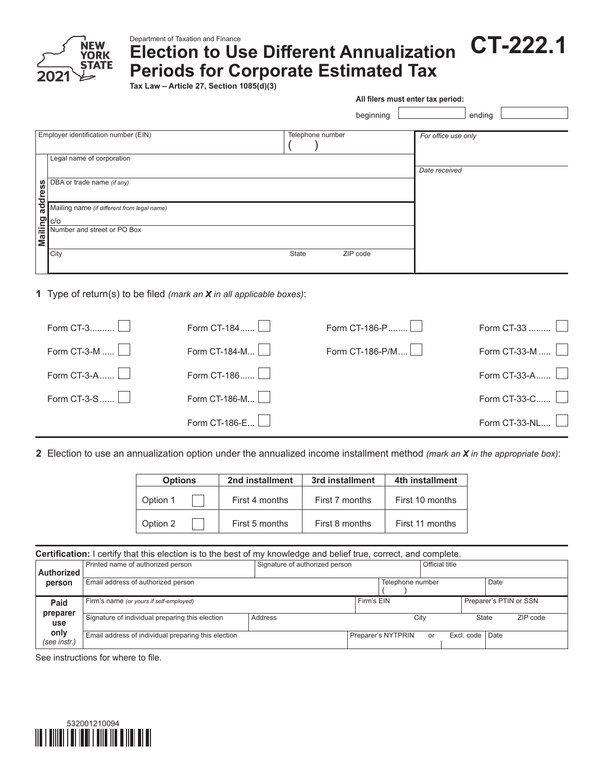

## Department of Taxation and Finance **Election to Use Different Annualization Periods for Corporate Estimated Tax CT-222.1**

**Tax Law – Article 27, Section 1085(d)(3)**

|                                                                                                                                                                                                                                     | All filers must enter tax period: |                     |  |  |  |
|-------------------------------------------------------------------------------------------------------------------------------------------------------------------------------------------------------------------------------------|-----------------------------------|---------------------|--|--|--|
|                                                                                                                                                                                                                                     | beginning                         | ending              |  |  |  |
| Employer identification number (EIN)                                                                                                                                                                                                | Telephone number                  | For office use only |  |  |  |
| Legal name of corporation                                                                                                                                                                                                           |                                   |                     |  |  |  |
|                                                                                                                                                                                                                                     |                                   | Date received       |  |  |  |
| <b>SET BEA</b> or trade name <i>(if any)</i><br><b>EVALUATE:</b><br>Mailing name <i>(if different from legal name)</i>                                                                                                              |                                   |                     |  |  |  |
|                                                                                                                                                                                                                                     |                                   |                     |  |  |  |
| Mailing<br>c/o<br>Number and street or PO Box                                                                                                                                                                                       |                                   |                     |  |  |  |
| City                                                                                                                                                                                                                                | State<br>ZIP code                 |                     |  |  |  |
| the contract of the state of the contract of the contract of the contract of the contract of the contract of the contract of the contract of the contract of the contract of the contract of the contract of the contract of t<br>. |                                   |                     |  |  |  |

**1** Type of return(s) to be filed *(mark an X in all applicable boxes)*:

| Form CT-3   | Form CT-184   | Form CT-186-P   | Form CT-33           |
|-------------|---------------|-----------------|----------------------|
| Form CT-3-M | Form CT-184-M | Form CT-186-P/M | Form CT-33-M         |
| Form CT-3-A | Form CT-186   |                 | Form CT-33-A $\Box$  |
| Form CT-3-S | Form CT-186-M |                 | Form CT-33-C $\Box$  |
|             | Form CT-186-E |                 | Form CT-33-NL $\Box$ |
|             |               |                 |                      |

**2** Election to use an annualization option under the annualized income installment method *(mark an X in the appropriate box)*:

| <b>Options</b> | 2nd installment | 3rd installment | 4th installment |  |
|----------------|-----------------|-----------------|-----------------|--|
| Option 1       | First 4 months  | First 7 months  | First 10 months |  |
| Option 2       | First 5 months  | First 8 months  | First 11 months |  |

| <b>Certification:</b> I certify that this election is to the best of my knowledge and belief true, correct, and complete. |                                                     |                                |                  |                    |                |                   |      |                        |
|---------------------------------------------------------------------------------------------------------------------------|-----------------------------------------------------|--------------------------------|------------------|--------------------|----------------|-------------------|------|------------------------|
| Authorized                                                                                                                | Printed name of authorized person                   | Signature of authorized person |                  |                    | Official title |                   |      |                        |
| person                                                                                                                    | Email address of authorized person                  |                                | Telephone number |                    |                |                   | Date |                        |
| Paid                                                                                                                      | Firm's name (or yours if self-employed)             |                                | Firm's EIN       |                    |                |                   |      | Preparer's PTIN or SSN |
| preparer<br>use                                                                                                           | Signature of individual preparing this election     | Address                        | State<br>City    |                    | ZIP code       |                   |      |                        |
| only<br>(see instr.)                                                                                                      | Email address of individual preparing this election |                                |                  | Preparer's NYTPRIN | or             | Excl. code   Date |      |                        |

See instructions for where to file.